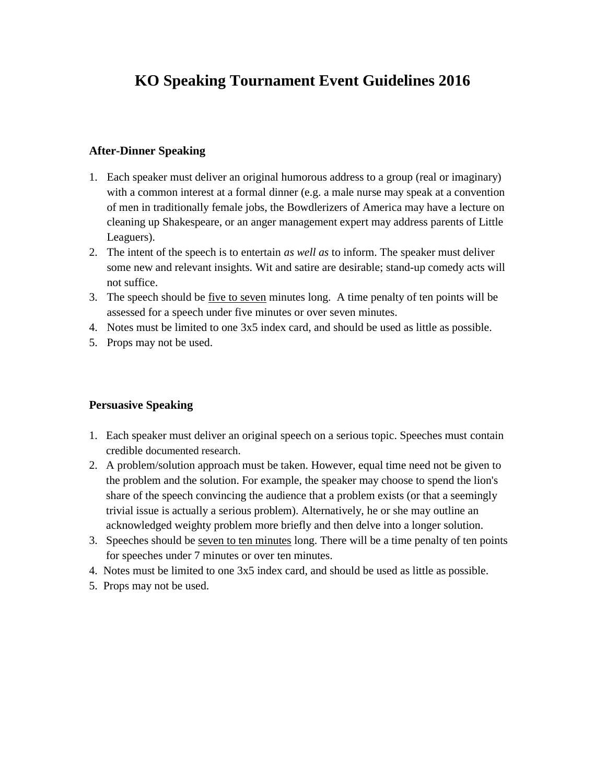# **KO Speaking Tournament Event Guidelines 2016**

#### **After-Dinner Speaking**

- 1. Each speaker must deliver an original humorous address to a group (real or imaginary) with a common interest at a formal dinner (e.g. a male nurse may speak at a convention of men in traditionally female jobs, the Bowdlerizers of America may have a lecture on cleaning up Shakespeare, or an anger management expert may address parents of Little Leaguers).
- 2. The intent of the speech is to entertain *as well as* to inform. The speaker must deliver some new and relevant insights. Wit and satire are desirable; stand-up comedy acts will not suffice.
- 3. The speech should be five to seven minutes long. A time penalty of ten points will be assessed for a speech under five minutes or over seven minutes.
- 4. Notes must be limited to one 3x5 index card, and should be used as little as possible.
- 5. Props may not be used.

## **Persuasive Speaking**

- 1. Each speaker must deliver an original speech on a serious topic. Speeches must contain credible documented research.
- 2. A problem/solution approach must be taken. However, equal time need not be given to the problem and the solution. For example, the speaker may choose to spend the lion's share of the speech convincing the audience that a problem exists (or that a seemingly trivial issue is actually a serious problem). Alternatively, he or she may outline an acknowledged weighty problem more briefly and then delve into a longer solution.
- 3. Speeches should be seven to ten minutes long. There will be a time penalty of ten points for speeches under 7 minutes or over ten minutes.
- 4. Notes must be limited to one 3x5 index card, and should be used as little as possible.
- 5. Props may not be used.